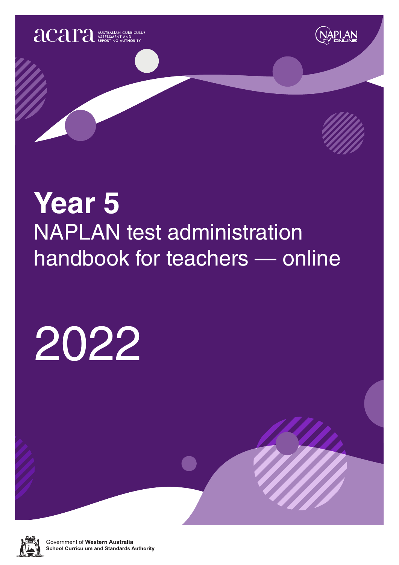





# **Year 5** NAPLAN test administration handbook for teachers — online

# 2022



Government of Western Australia **School Curriculum and Standards Authority**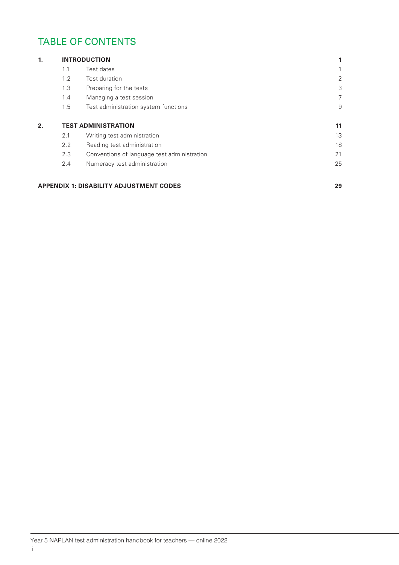# TABLE OF CONTENTS

| 1. |     | <b>INTRODUCTION</b>                         |    |
|----|-----|---------------------------------------------|----|
|    | 1.1 | Test dates                                  |    |
|    | 1.2 | Test duration                               | 2  |
|    | 1.3 | Preparing for the tests                     | 3  |
|    | 1.4 | Managing a test session                     | 7  |
|    | 1.5 | Test administration system functions        | 9  |
| 2. |     | <b>TEST ADMINISTRATION</b>                  | 11 |
|    | 2.1 | Writing test administration                 | 13 |
|    | 2.2 | Reading test administration                 | 18 |
|    | 2.3 | Conventions of language test administration | 21 |
|    | 2.4 | Numeracy test administration                | 25 |

#### **APPENDIX 1: DISABILITY ADJUSTMENT CODES 29**

Year 5 NAPLAN test administration handbook for teachers — online 2022 ii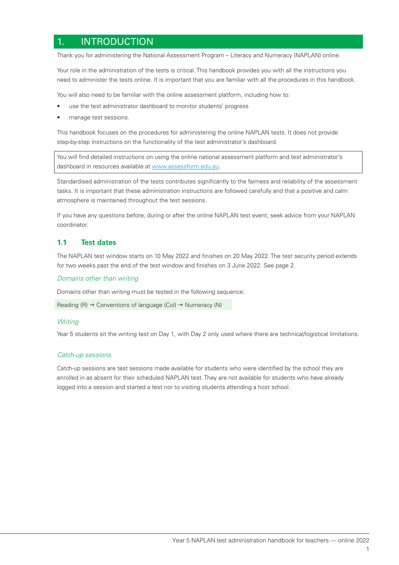## 1. INTRODUCTION

Thank you for administering the National Assessment Program – Literacy and Numeracy (NAPLAN) online.

Your role in the administration of the tests is critical. This handbook provides you with all the instructions you need to administer the tests online. It is important that you are familiar with all the procedures in this handbook.

You will also need to be familiar with the online assessment platform, including how to:

- use the test administrator dashboard to monitor students' progress
- manage test sessions.

This handbook focuses on the procedures for administering the online NAPLAN tests. It does not provide step-by-step instructions on the functionality of the test administrator's dashboard.

You will find detailed instructions on using the online national assessment platform and test administrator's dashboard in resources available at www.assessform.edu.au.

Standardised administration of the tests contributes significantly to the fairness and reliability of the assessment tasks. It is important that these administration instructions are followed carefully and that a positive and calm atmosphere is maintained throughout the test sessions.

If you have any questions before, during or after the online NAPLAN test event, seek advice from your NAPLAN coordinator.

#### **1.1 Test dates**

The NAPLAN test window starts on 10 May 2022 and finishes on 20 May 2022. The test security period extends for two weeks past the end of the test window and finishes on 3 June 2022. See page 2.

#### *Domains other than writing*

Domains other than writing must be tested in the following sequence:

Reading  $(R) \rightarrow$  Conventions of language (Col)  $\rightarrow$  Numeracy (N)

#### *Writing*

Year 5 students sit the writing test on Day 1, with Day 2 only used where there are technical/logistical limitations.

#### *Catch-up sessions*

Catch-up sessions are test sessions made available for students who were identified by the school they are enrolled in as absent for their scheduled NAPLAN test. They are not available for students who have already logged into a session and started a test nor to visiting students attending a host school.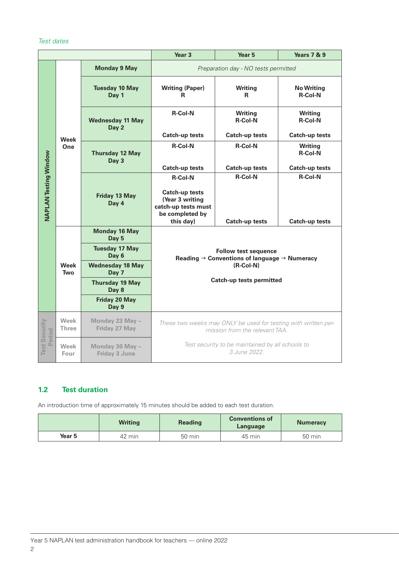#### *Test dates*

|                                |                      | Year <sub>3</sub>                       | Year 5                                                                                                                 | <b>Years 7 &amp; 9</b>           |                                     |
|--------------------------------|----------------------|-----------------------------------------|------------------------------------------------------------------------------------------------------------------------|----------------------------------|-------------------------------------|
|                                |                      | <b>Monday 9 May</b>                     | Preparation day - NO tests permitted                                                                                   |                                  |                                     |
|                                |                      | <b>Tuesday 10 May</b><br>Day 1          | <b>Writing (Paper)</b><br>R                                                                                            | <b>Writing</b><br>R              | <b>No Writing</b><br><b>R-Col-N</b> |
|                                |                      | <b>Wednesday 11 May</b><br>Day 2        | <b>R-Col-N</b>                                                                                                         | <b>Writing</b><br><b>R-Col-N</b> | <b>Writing</b><br><b>R-Col-N</b>    |
|                                | <b>Week</b>          |                                         | <b>Catch-up tests</b>                                                                                                  | <b>Catch-up tests</b>            | <b>Catch-up tests</b>               |
|                                | One                  | <b>Thursday 12 May</b><br>Day 3         | <b>R-Col-N</b>                                                                                                         | <b>R-Col-N</b>                   | <b>Writing</b><br><b>R-Col-N</b>    |
|                                |                      |                                         | <b>Catch-up tests</b>                                                                                                  | <b>Catch-up tests</b>            | <b>Catch-up tests</b>               |
| <b>NAPLAN Testing Window</b>   |                      | <b>Friday 13 May</b>                    | <b>R-Col-N</b><br><b>Catch-up tests</b><br>(Year 3 writing                                                             | <b>R-Col-N</b>                   | <b>R-Col-N</b>                      |
|                                |                      | Day 4                                   | catch-up tests must<br>be completed by<br>this day)                                                                    | <b>Catch-up tests</b>            | <b>Catch-up tests</b>               |
|                                |                      | <b>Monday 16 May</b><br>Day 5           |                                                                                                                        |                                  |                                     |
|                                | <b>Week</b><br>Two   | <b>Tuesday 17 May</b><br>Day 6          | <b>Follow test sequence</b><br>Reading $\rightarrow$ Conventions of language $\rightarrow$ Numeracy<br>$(R$ -Col-N $)$ |                                  |                                     |
|                                |                      | <b>Wednesday 18 May</b><br>Day 7        |                                                                                                                        |                                  |                                     |
|                                |                      | <b>Thursday 19 May</b><br>Day 8         |                                                                                                                        | <b>Catch-up tests permitted</b>  |                                     |
|                                |                      | <b>Friday 20 May</b><br>Day 9           |                                                                                                                        |                                  |                                     |
|                                | Week<br><b>Three</b> | Monday 23 May -<br>Friday 27 May        | These two weeks may ONLY be used for testing with written per-<br>mission from the relevant TAA.                       |                                  |                                     |
| <b>Test Security</b><br>Period | Week<br>Four         | Monday 30 May -<br><b>Friday 3 June</b> | Test security to be maintained by all schools to<br>3 June 2022.                                                       |                                  |                                     |

#### **1.2 Test duration**

An introduction time of approximately 15 minutes should be added to each test duration.

|        | <b>Writing</b> | <b>Reading</b>   | <b>Conventions of</b><br>Language | <b>Numeracy</b>  |
|--------|----------------|------------------|-----------------------------------|------------------|
| Year 5 | 42 min         | $50 \text{ min}$ | 45 min                            | $50 \text{ min}$ |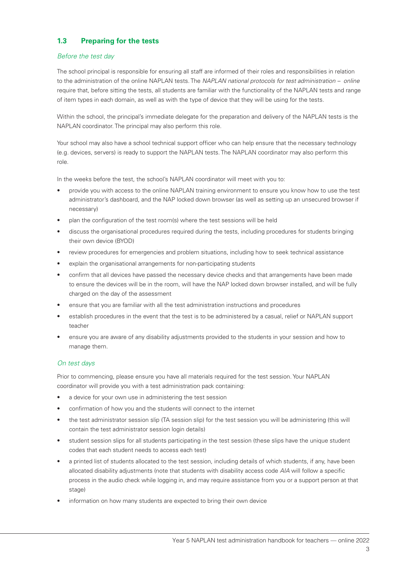#### **1.3 Preparing for the tests**

#### *Before the test day*

The school principal is responsible for ensuring all staff are informed of their roles and responsibilities in relation to the administration of the online NAPLAN tests. The *NAPLAN national protocols for test administration – online* require that, before sitting the tests, all students are familiar with the functionality of the NAPLAN tests and range of item types in each domain, as well as with the type of device that they will be using for the tests.

Within the school, the principal's immediate delegate for the preparation and delivery of the NAPLAN tests is the NAPLAN coordinator. The principal may also perform this role.

Your school may also have a school technical support officer who can help ensure that the necessary technology (e.g. devices, servers) is ready to support the NAPLAN tests. The NAPLAN coordinator may also perform this role.

In the weeks before the test, the school's NAPLAN coordinator will meet with you to:

- provide you with access to the online NAPLAN training environment to ensure you know how to use the test administrator's dashboard, and the NAP locked down browser (as well as setting up an unsecured browser if necessary)
- plan the configuration of the test room(s) where the test sessions will be held
- discuss the organisational procedures required during the tests, including procedures for students bringing their own device (BYOD)
- review procedures for emergencies and problem situations, including how to seek technical assistance
- explain the organisational arrangements for non-participating students
- confirm that all devices have passed the necessary device checks and that arrangements have been made to ensure the devices will be in the room, will have the NAP locked down browser installed, and will be fully charged on the day of the assessment
- ensure that you are familiar with all the test administration instructions and procedures
- establish procedures in the event that the test is to be administered by a casual, relief or NAPLAN support teacher
- ensure you are aware of any disability adjustments provided to the students in your session and how to manage them.

#### *On test days*

Prior to commencing, please ensure you have all materials required for the test session. Your NAPLAN coordinator will provide you with a test administration pack containing:

- a device for your own use in administering the test session
- confirmation of how you and the students will connect to the internet
- the test administrator session slip (TA session slip) for the test session you will be administering (this will contain the test administrator session login details)
- student session slips for all students participating in the test session (these slips have the unique student codes that each student needs to access each test)
- a printed list of students allocated to the test session, including details of which students, if any, have been allocated disability adjustments (note that students with disability access code *AIA* will follow a specific process in the audio check while logging in, and may require assistance from you or a support person at that stage)
- information on how many students are expected to bring their own device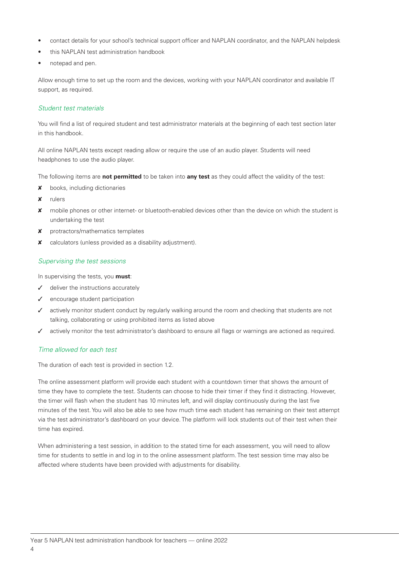- contact details for your school's technical support officer and NAPLAN coordinator, and the NAPLAN helpdesk
- this NAPLAN test administration handbook
- notepad and pen.

Allow enough time to set up the room and the devices, working with your NAPLAN coordinator and available IT support, as required.

#### *Student test materials*

You will find a list of required student and test administrator materials at the beginning of each test section later in this handbook.

All online NAPLAN tests except reading allow or require the use of an audio player. Students will need headphones to use the audio player.

The following items are **not permitted** to be taken into **any test** as they could affect the validity of the test:

- **x** books, including dictionaries
- 8 rulers
- 8 mobile phones or other internet- or bluetooth-enabled devices other than the device on which the student is undertaking the test
- 8 protractors/mathematics templates
- 8 calculators (unless provided as a disability adjustment).

#### *Supervising the test sessions*

In supervising the tests, you **must**:

- $J$  deliver the instructions accurately
- $\checkmark$  encourage student participation
- $\checkmark$  actively monitor student conduct by regularly walking around the room and checking that students are not talking, collaborating or using prohibited items as listed above
- $\checkmark$  actively monitor the test administrator's dashboard to ensure all flags or warnings are actioned as required.

#### *Time allowed for each test*

The duration of each test is provided in section 1.2.

The online assessment platform will provide each student with a countdown timer that shows the amount of time they have to complete the test. Students can choose to hide their timer if they find it distracting. However, the timer will flash when the student has 10 minutes left, and will display continuously during the last five minutes of the test. You will also be able to see how much time each student has remaining on their test attempt via the test administrator's dashboard on your device. The platform will lock students out of their test when their time has expired.

When administering a test session, in addition to the stated time for each assessment, you will need to allow time for students to settle in and log in to the online assessment platform. The test session time may also be affected where students have been provided with adjustments for disability.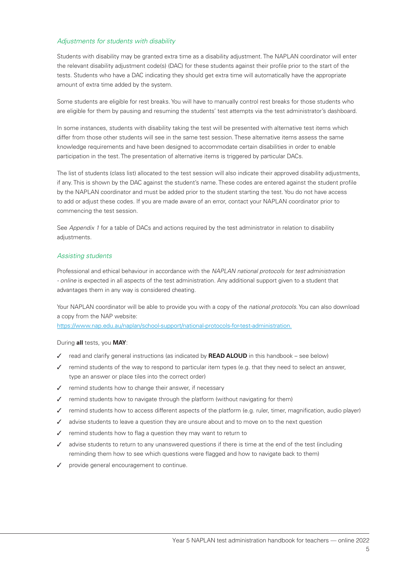#### *Adjustments for students with disability*

Students with disability may be granted extra time as a disability adjustment. The NAPLAN coordinator will enter the relevant disability adjustment code(s) (DAC) for these students against their profile prior to the start of the tests. Students who have a DAC indicating they should get extra time will automatically have the appropriate amount of extra time added by the system.

Some students are eligible for rest breaks. You will have to manually control rest breaks for those students who are eligible for them by pausing and resuming the students' test attempts via the test administrator's dashboard.

In some instances, students with disability taking the test will be presented with alternative test items which differ from those other students will see in the same test session. These alternative items assess the same knowledge requirements and have been designed to accommodate certain disabilities in order to enable participation in the test. The presentation of alternative items is triggered by particular DACs.

The list of students (class list) allocated to the test session will also indicate their approved disability adjustments, if any. This is shown by the DAC against the student's name. These codes are entered against the student profile by the NAPLAN coordinator and must be added prior to the student starting the test. You do not have access to add or adjust these codes. If you are made aware of an error, contact your NAPLAN coordinator prior to commencing the test session.

See *Appendix 1* for a table of DACs and actions required by the test administrator in relation to disability adjustments.

#### *Assisting students*

Professional and ethical behaviour in accordance with the *NAPLAN national protocols for test administration - online* is expected in all aspects of the test administration. Any additional support given to a student that advantages them in any way is considered cheating.

Your NAPLAN coordinator will be able to provide you with a copy of the *national protocols*. You can also download a copy from the NAP website:

https://www.nap.edu.au/naplan/school-support/national-protocols-for-test-administration.

#### During **all** tests, you **MAY**:

- √ read and clarify general instructions (as indicated by **READ ALOUD** in this handbook see below)
- $\checkmark$  remind students of the way to respond to particular item types (e.g. that they need to select an answer, type an answer or place tiles into the correct order)
- $\checkmark$  remind students how to change their answer, if necessary
- remind students how to navigate through the platform (without navigating for them)
- 3 remind students how to access different aspects of the platform (e.g. ruler, timer, magnification, audio player)
- advise students to leave a question they are unsure about and to move on to the next question
- remind students how to flag a question they may want to return to
- advise students to return to any unanswered questions if there is time at the end of the test (including reminding them how to see which questions were flagged and how to navigate back to them)
- provide general encouragement to continue.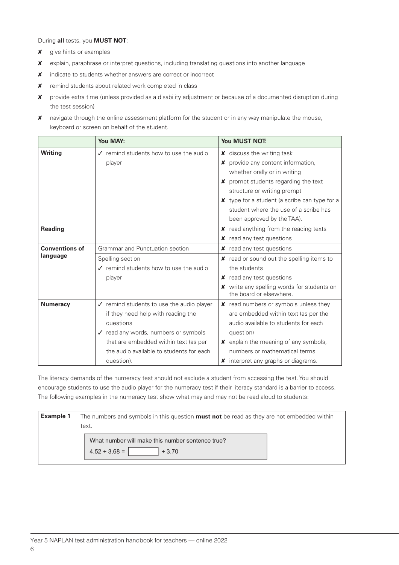During **all** tests, you **MUST NOT**:

- **x** give hints or examples
- 8 explain, paraphrase or interpret questions, including translating questions into another language
- 8 indicate to students whether answers are correct or incorrect
- 8 remind students about related work completed in class
- 8 provide extra time (unless provided as a disability adjustment or because of a documented disruption during the test session)
- 8 navigate through the online assessment platform for the student or in any way manipulate the mouse, keyboard or screen on behalf of the student.

|                       | <b>You MAY:</b>                                      | <b>You MUST NOT:</b>                                                  |
|-----------------------|------------------------------------------------------|-----------------------------------------------------------------------|
| <b>Writing</b>        | $\checkmark$ remind students how to use the audio    | $x$ discuss the writing task                                          |
|                       | player                                               | $x$ provide any content information,                                  |
|                       |                                                      | whether orally or in writing                                          |
|                       |                                                      | X prompt students regarding the text                                  |
|                       |                                                      | structure or writing prompt                                           |
|                       |                                                      | <b>X</b> type for a student (a scribe can type for a                  |
|                       |                                                      | student where the use of a scribe has                                 |
|                       |                                                      | been approved by the TAA).                                            |
| <b>Reading</b>        |                                                      | $x$ read anything from the reading texts                              |
|                       |                                                      | <b>x</b> read any test questions                                      |
| <b>Conventions of</b> | Grammar and Punctuation section                      | <b>x</b> read any test questions                                      |
| language              | Spelling section                                     | $x$ read or sound out the spelling items to                           |
|                       | ✔ remind students how to use the audio               | the students                                                          |
|                       | player                                               | <b>x</b> read any test questions                                      |
|                       |                                                      | X write any spelling words for students on<br>the board or elsewhere. |
| <b>Numeracy</b>       | $\checkmark$ remind students to use the audio player | <b>x</b> read numbers or symbols unless they                          |
|                       | if they need help with reading the                   | are embedded within text (as per the                                  |
|                       | questions                                            | audio available to students for each                                  |
|                       | ✔ read any words, numbers or symbols                 | question)                                                             |
|                       | that are embedded within text (as per                | $x$ explain the meaning of any symbols,                               |
|                       | the audio available to students for each             | numbers or mathematical terms                                         |
|                       | question).                                           | <b>x</b> interpret any graphs or diagrams.                            |

The literacy demands of the numeracy test should not exclude a student from accessing the test. You should encourage students to use the audio player for the numeracy test if their literacy standard is a barrier to access. The following examples in the numeracy test show what may and may not be read aloud to students:

| <b>Example 1</b> | The numbers and symbols in this question <b>must not</b> be read as they are not embedded within |  |  |
|------------------|--------------------------------------------------------------------------------------------------|--|--|
|                  | text.                                                                                            |  |  |
|                  | What number will make this number sentence true?<br>$4.52 + 3.68 =$<br>$+3.70$                   |  |  |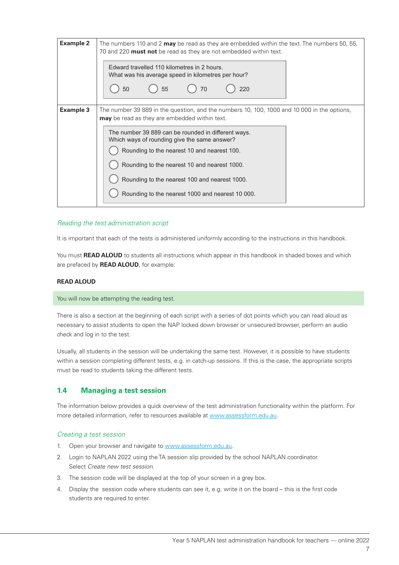| <b>Example 2</b> | The numbers 110 and 2 <b>may</b> be read as they are embedded within the text. The numbers 50, 55,<br>70 and 220 <b>must not</b> be read as they are not embedded within text.<br>Edward travelled 110 kilometres in 2 hours.<br>What was his average speed in kilometres per hour?<br>55<br>50<br>220<br>70                                                                                                                                                   |  |  |
|------------------|----------------------------------------------------------------------------------------------------------------------------------------------------------------------------------------------------------------------------------------------------------------------------------------------------------------------------------------------------------------------------------------------------------------------------------------------------------------|--|--|
| <b>Example 3</b> | The number 39 889 in the question, and the numbers 10, 100, 1000 and 10 000 in the options,<br><b>may</b> be read as they are embedded within text.<br>The number 39 889 can be rounded in different ways.<br>Which ways of rounding give the same answer?<br>Rounding to the nearest 10 and nearest 100.<br>Rounding to the nearest 10 and nearest 1000.<br>Rounding to the nearest 100 and nearest 1000.<br>Rounding to the nearest 1000 and nearest 10 000. |  |  |

#### *Reading the test administration script*

It is important that each of the tests is administered uniformly according to the instructions in this handbook.

You must **READ ALOUD** to students all instructions which appear in this handbook in shaded boxes and which are prefaced by **READ ALOUD**, for example:

#### **READ ALOUD**

#### You will now be attempting the reading test.

There is also a section at the beginning of each script with a series of dot points which you can read aloud as necessary to assist students to open the NAP locked down browser or unsecured browser, perform an audio check and log in to the test.

Usually, all students in the session will be undertaking the same test. However, it is possible to have students within a session completing different tests, e.g. in catch-up sessions. If this is the case, the appropriate scripts must be read to students taking the different tests.

#### **1.4 Managing a test session**

The information below provides a quick overview of the test administration functionality within the platform. For more detailed information, refer to resources available at www.assessform.edu.au.

#### *Creating a test session*

- 1. Open your browser and navigate to www.assessform.edu.au.
- 2. Login to NAPLAN 2022 using the TA session slip provided by the school NAPLAN coordinator. Select *Create new test session*.
- 3. The session code will be displayed at the top of your screen in a grey box.
- 4. Display the session code where students can see it, e.g. write it on the board this is the first code students are required to enter.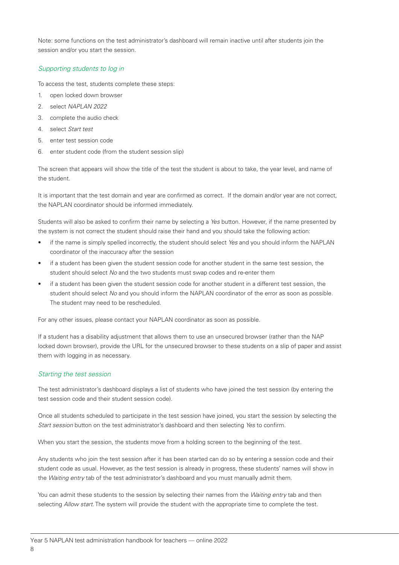Note: some functions on the test administrator's dashboard will remain inactive until after students join the session and/or you start the session.

#### *Supporting students to log in*

To access the test, students complete these steps:

- 1. open locked down browser
- 2. select *NAPLAN 2022*
- 3. complete the audio check
- 4. select *Start test*
- 5. enter test session code
- 6. enter student code (from the student session slip)

The screen that appears will show the title of the test the student is about to take, the year level, and name of the student.

It is important that the test domain and year are confirmed as correct. If the domain and/or year are not correct, the NAPLAN coordinator should be informed immediately.

Students will also be asked to confirm their name by selecting a *Yes* button. However, if the name presented by the system is not correct the student should raise their hand and you should take the following action:

- if the name is simply spelled incorrectly, the student should select *Yes* and you should inform the NAPLAN coordinator of the inaccuracy after the session
- if a student has been given the student session code for another student in the same test session, the student should select *No* and the two students must swap codes and re-enter them
- if a student has been given the student session code for another student in a different test session, the student should select *No* and you should inform the NAPLAN coordinator of the error as soon as possible. The student may need to be rescheduled.

For any other issues, please contact your NAPLAN coordinator as soon as possible.

If a student has a disability adjustment that allows them to use an unsecured browser (rather than the NAP locked down browser), provide the URL for the unsecured browser to these students on a slip of paper and assist them with logging in as necessary.

#### *Starting the test session*

The test administrator's dashboard displays a list of students who have joined the test session (by entering the test session code and their student session code).

Once all students scheduled to participate in the test session have joined, you start the session by selecting the *Start session* button on the test administrator's dashboard and then selecting *Yes* to confirm.

When you start the session, the students move from a holding screen to the beginning of the test.

Any students who join the test session after it has been started can do so by entering a session code and their student code as usual. However, as the test session is already in progress, these students' names will show in the *Waiting entry* tab of the test administrator's dashboard and you must manually admit them.

You can admit these students to the session by selecting their names from the *Waiting entry* tab and then selecting *Allow start*. The system will provide the student with the appropriate time to complete the test.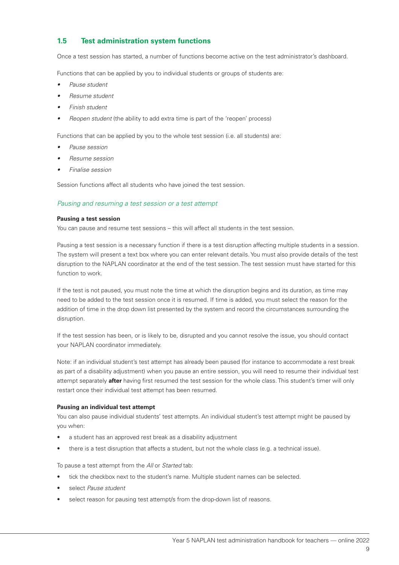#### **1.5 Test administration system functions**

Once a test session has started, a number of functions become active on the test administrator's dashboard.

Functions that can be applied by you to individual students or groups of students are:

- *• Pause student*
- *• Resume student*
- *• Finish student*
- *• Reopen student* (the ability to add extra time is part of the 'reopen' process)

Functions that can be applied by you to the whole test session (i.e. all students) are:

- *• Pause session*
- *• Resume session*
- *• Finalise session*

Session functions affect all students who have joined the test session.

#### *Pausing and resuming a test session or a test attempt*

#### **Pausing a test session**

You can pause and resume test sessions – this will affect all students in the test session.

Pausing a test session is a necessary function if there is a test disruption affecting multiple students in a session. The system will present a text box where you can enter relevant details. You must also provide details of the test disruption to the NAPLAN coordinator at the end of the test session. The test session must have started for this function to work.

If the test is not paused, you must note the time at which the disruption begins and its duration, as time may need to be added to the test session once it is resumed. If time is added, you must select the reason for the addition of time in the drop down list presented by the system and record the circumstances surrounding the disruption.

If the test session has been, or is likely to be, disrupted and you cannot resolve the issue, you should contact your NAPLAN coordinator immediately.

Note: if an individual student's test attempt has already been paused (for instance to accommodate a rest break as part of a disability adjustment) when you pause an entire session, you will need to resume their individual test attempt separately **after** having first resumed the test session for the whole class. This student's timer will only restart once their individual test attempt has been resumed.

#### **Pausing an individual test attempt**

You can also pause individual students' test attempts. An individual student's test attempt might be paused by you when:

- a student has an approved rest break as a disability adjustment
- there is a test disruption that affects a student, but not the whole class (e.g. a technical issue).

To pause a test attempt from the *All* or *Started* tab:

- tick the checkbox next to the student's name. Multiple student names can be selected.
- select *Pause student*
- select reason for pausing test attempt/s from the drop-down list of reasons.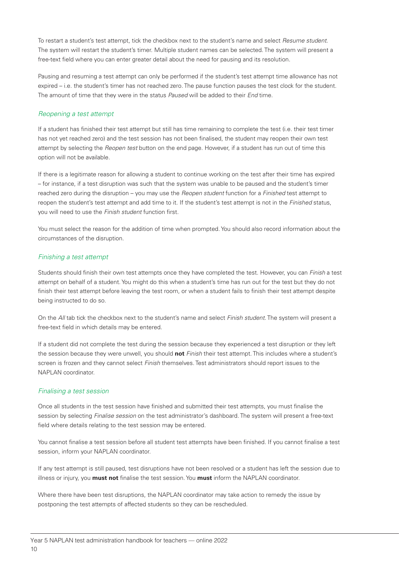To restart a student's test attempt, tick the checkbox next to the student's name and select *Resume student*. The system will restart the student's timer. Multiple student names can be selected. The system will present a free-text field where you can enter greater detail about the need for pausing and its resolution.

Pausing and resuming a test attempt can only be performed if the student's test attempt time allowance has not expired – i.e. the student's timer has not reached zero. The pause function pauses the test clock for the student. The amount of time that they were in the status *Paused* will be added to their *End* time.

#### *Reopening a test attempt*

If a student has finished their test attempt but still has time remaining to complete the test (i.e. their test timer has not yet reached zero) and the test session has not been finalised, the student may reopen their own test attempt by selecting the *Reopen test* button on the end page. However, if a student has run out of time this option will not be available.

If there is a legitimate reason for allowing a student to continue working on the test after their time has expired – for instance, if a test disruption was such that the system was unable to be paused and the student's timer reached zero during the disruption – you may use the *Reopen student* function for a *Finished* test attempt to reopen the student's test attempt and add time to it. If the student's test attempt is not in the *Finished* status, you will need to use the *Finish student* function first.

You must select the reason for the addition of time when prompted. You should also record information about the circumstances of the disruption.

#### *Finishing a test attempt*

Students should finish their own test attempts once they have completed the test. However, you can *Finish* a test attempt on behalf of a student. You might do this when a student's time has run out for the test but they do not finish their test attempt before leaving the test room, or when a student fails to finish their test attempt despite being instructed to do so.

On the *All* tab tick the checkbox next to the student's name and select *Finish student*. The system will present a free-text field in which details may be entered.

If a student did not complete the test during the session because they experienced a test disruption or they left the session because they were unwell, you should **not** *Finish* their test attempt. This includes where a student's screen is frozen and they cannot select *Finish* themselves. Test administrators should report issues to the NAPLAN coordinator.

#### *Finalising a test session*

Once all students in the test session have finished and submitted their test attempts, you must finalise the session by selecting *Finalise session* on the test administrator's dashboard. The system will present a free-text field where details relating to the test session may be entered.

You cannot finalise a test session before all student test attempts have been finished. If you cannot finalise a test session, inform your NAPLAN coordinator.

If any test attempt is still paused, test disruptions have not been resolved or a student has left the session due to illness or injury, you **must not** finalise the test session. You **must** inform the NAPLAN coordinator.

Where there have been test disruptions, the NAPLAN coordinator may take action to remedy the issue by postponing the test attempts of affected students so they can be rescheduled.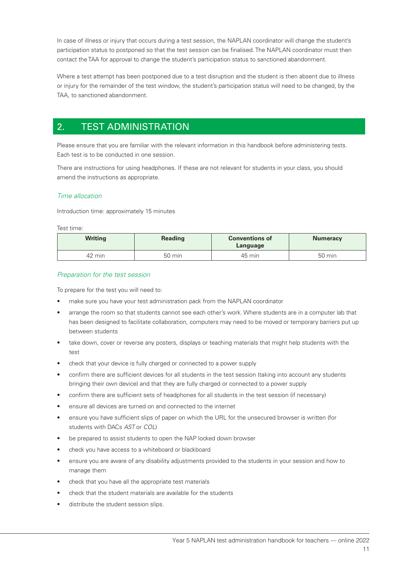In case of illness or injury that occurs during a test session, the NAPLAN coordinator will change the student's participation status to postponed so that the test session can be finalised. The NAPLAN coordinator must then contact the TAA for approval to change the student's participation status to sanctioned abandonment.

Where a test attempt has been postponed due to a test disruption and the student is then absent due to illness or injury for the remainder of the test window, the student's participation status will need to be changed, by the TAA, to sanctioned abandonment.

# 2. TEST ADMINISTRATION

Please ensure that you are familiar with the relevant information in this handbook before administering tests. Each test is to be conducted in one session.

There are instructions for using headphones. If these are not relevant for students in your class, you should amend the instructions as appropriate.

#### *Time allocation*

Introduction time: approximately 15 minutes

#### Test time:

| <b>Writing</b> | <b>Reading</b> | <b>Conventions of</b><br>Language | <b>Numeracy</b>  |
|----------------|----------------|-----------------------------------|------------------|
| 42 min         | 50 min         | 45 min                            | $50 \text{ min}$ |

#### *Preparation for the test session*

To prepare for the test you will need to:

- make sure you have your test administration pack from the NAPLAN coordinator
- arrange the room so that students cannot see each other's work. Where students are in a computer lab that has been designed to facilitate collaboration, computers may need to be moved or temporary barriers put up between students
- take down, cover or reverse any posters, displays or teaching materials that might help students with the test
- check that your device is fully charged or connected to a power supply
- confirm there are sufficient devices for all students in the test session (taking into account any students bringing their own device) and that they are fully charged or connected to a power supply
- confirm there are sufficient sets of headphones for all students in the test session (if necessary)
- ensure all devices are turned on and connected to the internet
- ensure you have sufficient slips of paper on which the URL for the unsecured browser is written (for students with DACs *AST* or *COL*)
- be prepared to assist students to open the NAP locked down browser
- check you have access to a whiteboard or blackboard
- ensure you are aware of any disability adjustments provided to the students in your session and how to manage them
- check that you have all the appropriate test materials
- check that the student materials are available for the students
- distribute the student session slips.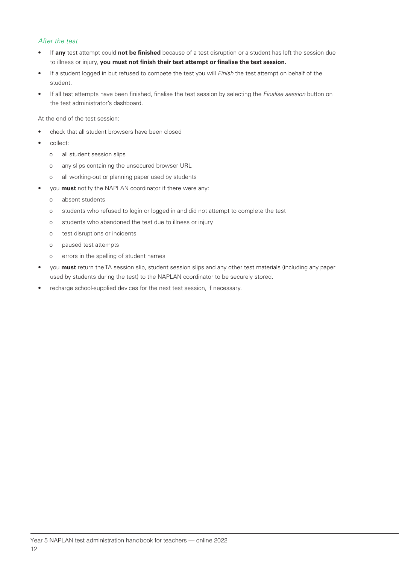#### *After the test*

- If **any** test attempt could **not be finished** because of a test disruption or a student has left the session due to illness or injury, **you must not finish their test attempt or finalise the test session.**
- If a student logged in but refused to compete the test you will *Finish* the test attempt on behalf of the student.
- If all test attempts have been finished, finalise the test session by selecting the *Finalise session* button on the test administrator's dashboard.

At the end of the test session:

- check that all student browsers have been closed
- collect:
	- o all student session slips
	- o any slips containing the unsecured browser URL
	- o all working-out or planning paper used by students
- you **must** notify the NAPLAN coordinator if there were any:
	- o absent students
	- o students who refused to login or logged in and did not attempt to complete the test
	- o students who abandoned the test due to illness or injury
	- o test disruptions or incidents
	- o paused test attempts
	- o errors in the spelling of student names
- you **must** return the TA session slip, student session slips and any other test materials (including any paper used by students during the test) to the NAPLAN coordinator to be securely stored.
- recharge school-supplied devices for the next test session, if necessary.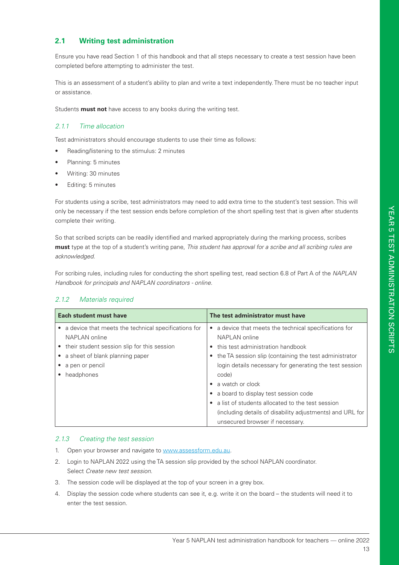### **2.1 Writing test administration**

Ensure you have read Section 1 of this handbook and that all steps necessary to create a test session have been completed before attempting to administer the test.

This is an assessment of a student's ability to plan and write a text independently. There must be no teacher input or assistance.

Students **must not** have access to any books during the writing test.

#### *2.1.1 Time allocation*

Test administrators should encourage students to use their time as follows:

- Reading/listening to the stimulus: 2 minutes
- Planning: 5 minutes
- Writing: 30 minutes
- Editing: 5 minutes

For students using a scribe, test administrators may need to add extra time to the student's test session. This will only be necessary if the test session ends before completion of the short spelling test that is given after students complete their writing.

So that scribed scripts can be readily identified and marked appropriately during the marking process, scribes **must** type at the top of a student's writing pane, *This student has approval for a scribe and all scribing rules are acknowledged.*

For scribing rules, including rules for conducting the short spelling test, read section 6.8 of Part A of the *NAPLAN Handbook for principals and NAPLAN coordinators - online*.

|                                                                   | Each student must have                      | The test administrator must have                          |
|-------------------------------------------------------------------|---------------------------------------------|-----------------------------------------------------------|
| a device that meets the technical specifications for<br>$\bullet$ |                                             | • a device that meets the technical specifications for    |
|                                                                   | NAPLAN online                               | NAPLAN online                                             |
|                                                                   | their student session slip for this session | • this test administration handbook                       |
|                                                                   | a sheet of blank planning paper             | • the TA session slip (containing the test administrator  |
|                                                                   | a pen or pencil                             | login details necessary for generating the test session   |
|                                                                   | headphones                                  | code)                                                     |
|                                                                   |                                             | a watch or clock                                          |
|                                                                   |                                             | • a board to display test session code                    |
|                                                                   |                                             | • a list of students allocated to the test session        |
|                                                                   |                                             | (including details of disability adjustments) and URL for |
|                                                                   |                                             | unsecured browser if necessary.                           |

#### *2.1.2 Materials required*

#### *2.1.3 Creating the test session*

- 1. Open your browser and navigate to www.assessform.edu.au.
- 2. Login to NAPLAN 2022 using the TA session slip provided by the school NAPLAN coordinator. Select *Create new test session*.
- 3. The session code will be displayed at the top of your screen in a grey box.
- 4. Display the session code where students can see it, e.g. write it on the board the students will need it to enter the test session.

#### 13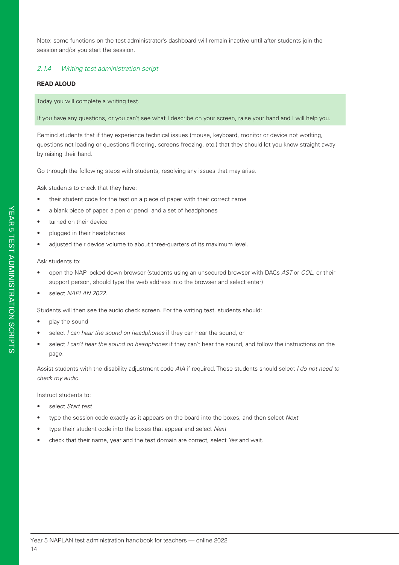Note: some functions on the test administrator's dashboard will remain inactive until after students join the session and/or you start the session.

#### *2.1.4 Writing test administration script*

#### **READ ALOUD**

Today you will complete a writing test.

If you have any questions, or you can't see what I describe on your screen, raise your hand and I will help you.

Remind students that if they experience technical issues (mouse, keyboard, monitor or device not working, questions not loading or questions flickering, screens freezing, etc.) that they should let you know straight away by raising their hand.

Go through the following steps with students, resolving any issues that may arise.

Ask students to check that they have:

- their student code for the test on a piece of paper with their correct name
- a blank piece of paper, a pen or pencil and a set of headphones
- turned on their device
- plugged in their headphones
- adjusted their device volume to about three-quarters of its maximum level.

Ask students to:

- open the NAP locked down browser (students using an unsecured browser with DACs *AST* or *COL*, or their support person, should type the web address into the browser and select enter)
- select *NAPLAN 2022*.

Students will then see the audio check screen. For the writing test, students should:

- play the sound
- select *I can hear the sound on headphones* if they can hear the sound, or
- select *I can't hear the sound on headphones* if they can't hear the sound, and follow the instructions on the page.

Assist students with the disability adjustment code *AIA* if required. These students should select *I do not need to check my audio*.

Instruct students to:

- select *Start test*
- type the session code exactly as it appears on the board into the boxes, and then select *Next*
- type their student code into the boxes that appear and select *Next*
- check that their name, year and the test domain are correct, select *Yes* and wait.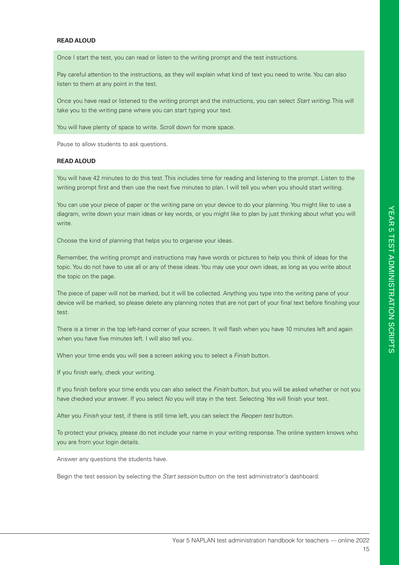#### **READ ALOUD**

Once I start the test, you can read or listen to the writing prompt and the test instructions.

Pay careful attention to the instructions, as they will explain what kind of text you need to write. You can also listen to them at any point in the test.

Once you have read or listened to the writing prompt and the instructions, you can select *Start writing*. This will take you to the writing pane where you can start typing your text.

You will have plenty of space to write. Scroll down for more space.

Pause to allow students to ask questions.

#### **READ ALOUD**

You will have 42 minutes to do this test. This includes time for reading and listening to the prompt. Listen to the writing prompt first and then use the next five minutes to plan. I will tell you when you should start writing.

You can use your piece of paper or the writing pane on your device to do your planning. You might like to use a diagram, write down your main ideas or key words, or you might like to plan by just thinking about what you will write.

Choose the kind of planning that helps you to organise your ideas.

Remember, the writing prompt and instructions may have words or pictures to help you think of ideas for the topic. You do not have to use all or any of these ideas. You may use your own ideas, as long as you write about the topic on the page.

The piece of paper will not be marked, but it will be collected. Anything you type into the writing pane of your device will be marked, so please delete any planning notes that are not part of your final text before finishing your test.

There is a timer in the top left-hand corner of your screen. It will flash when you have 10 minutes left and again when you have five minutes left. I will also tell you.

When your time ends you will see a screen asking you to select a *Finish* button.

If you finish early, check your writing.

If you finish before your time ends you can also select the *Finish* button, but you will be asked whether or not you have checked your answer. If you select *No* you will stay in the test. Selecting *Yes* will finish your test.

After you *Finish* your test, if there is still time left, you can select the *Reopen test* button.

To protect your privacy, please do not include your name in your writing response. The online system knows who you are from your login details.

Answer any questions the students have.

Begin the test session by selecting the *Start session* button on the test administrator's dashboard.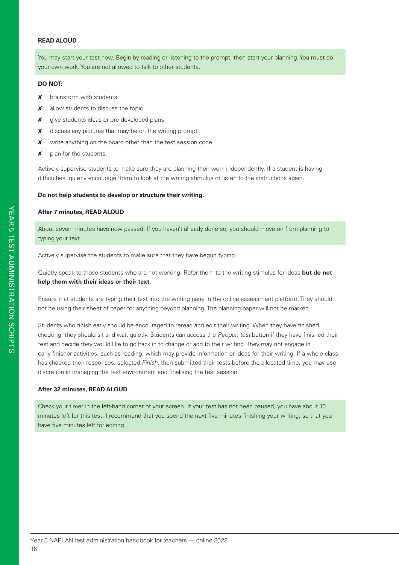#### **READ ALOUD**

You may start your test now. Begin by reading or listening to the prompt, then start your planning. You must do your own work. You are not allowed to talk to other students.

#### **DO NOT:**

- **x** brainstorm with students
- **x** allow students to discuss the topic
- **x** give students ideas or pre-developed plans
- **X** discuss any pictures that may be on the writing prompt
- **X** write anything on the board other than the test session code
- $x$  plan for the students.

Actively supervise students to make sure they are planning their work independently. If a student is having difficulties, quietly encourage them to look at the writing stimulus or listen to the instructions again.

#### **Do not help students to develop or structure their writing.**

#### **After 7 minutes, READ ALOUD**

About seven minutes have now passed. If you haven't already done so, you should move on from planning to typing your text.

Actively supervise the students to make sure that they have begun typing.

Quietly speak to those students who are not working. Refer them to the writing stimulus for ideas **but do not help them with their ideas or their text.**

Ensure that students are typing their text into the writing pane in the online assessment platform. They should not be using their sheet of paper for anything beyond planning. The planning paper will not be marked.

Students who finish early should be encouraged to reread and edit their writing. When they have finished checking, they should sit and wait quietly. Students can access the *Reopen test* button if they have finished their test and decide they would like to go back in to change or add to their writing. They may not engage in early-finisher activities, such as reading, which may provide information or ideas for their writing. If a whole class has checked their responses, selected *Finish*, then submitted their tests before the allocated time, you may use discretion in managing the test environment and finalising the test session.

#### **After 32 minutes, READ ALOUD**

Check your timer in the left-hand corner of your screen. If your test has not been paused, you have about 10 minutes left for this test. I recommend that you spend the next five minutes finishing your writing, so that you have five minutes left for editing.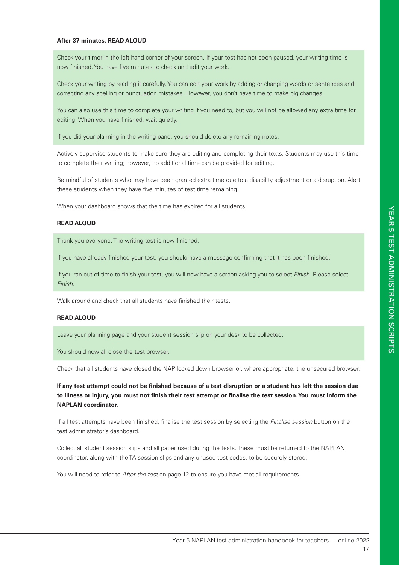#### **After 37 minutes, READ ALOUD**

Check your timer in the left-hand corner of your screen. If your test has not been paused, your writing time is now finished. You have five minutes to check and edit your work.

Check your writing by reading it carefully. You can edit your work by adding or changing words or sentences and correcting any spelling or punctuation mistakes. However, you don't have time to make big changes.

You can also use this time to complete your writing if you need to, but you will not be allowed any extra time for editing. When you have finished, wait quietly.

If you did your planning in the writing pane, you should delete any remaining notes.

Actively supervise students to make sure they are editing and completing their texts. Students may use this time to complete their writing; however, no additional time can be provided for editing.

Be mindful of students who may have been granted extra time due to a disability adjustment or a disruption. Alert these students when they have five minutes of test time remaining.

When your dashboard shows that the time has expired for all students:

#### **READ ALOUD**

Thank you everyone. The writing test is now finished.

If you have already finished your test, you should have a message confirming that it has been finished.

If you ran out of time to finish your test, you will now have a screen asking you to select *Finish*. Please select *Finish*.

Walk around and check that all students have finished their tests.

#### **READ ALOUD**

Leave your planning page and your student session slip on your desk to be collected.

You should now all close the test browser.

Check that all students have closed the NAP locked down browser or, where appropriate, the unsecured browser.

**If any test attempt could not be finished because of a test disruption or a student has left the session due to illness or injury, you must not finish their test attempt or finalise the test session. You must inform the NAPLAN coordinator.**

If all test attempts have been finished, finalise the test session by selecting the *Finalise session* button on the test administrator's dashboard.

Collect all student session slips and all paper used during the tests. These must be returned to the NAPLAN coordinator, along with the TA session slips and any unused test codes, to be securely stored.

You will need to refer to *After the test* on page 12 to ensure you have met all requirements.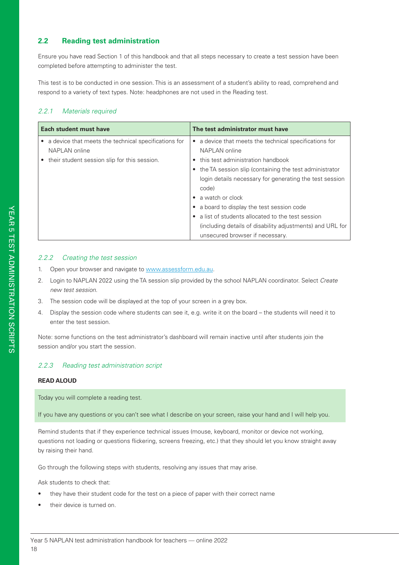#### **2.2 Reading test administration**

Ensure you have read Section 1 of this handbook and that all steps necessary to create a test session have been completed before attempting to administer the test.

This test is to be conducted in one session. This is an assessment of a student's ability to read, comprehend and respond to a variety of text types. Note: headphones are not used in the Reading test.

#### *2.2.1 Materials required*

| Each student must have                                                                                                    | The test administrator must have                                                                                                                                                                                                                                                                                                                                                                                                                                                 |  |
|---------------------------------------------------------------------------------------------------------------------------|----------------------------------------------------------------------------------------------------------------------------------------------------------------------------------------------------------------------------------------------------------------------------------------------------------------------------------------------------------------------------------------------------------------------------------------------------------------------------------|--|
| • a device that meets the technical specifications for<br>NAPLAN online<br>• their student session slip for this session. | a device that meets the technical specifications for<br>NAPLAN online<br>• this test administration handbook<br>the TA session slip (containing the test administrator<br>$\bullet$<br>login details necessary for generating the test session<br>code)<br>a watch or clock<br>a board to display the test session code<br>٠<br>a list of students allocated to the test session<br>(including details of disability adjustments) and URL for<br>unsecured browser if necessary. |  |

#### *2.2.2 Creating the test session*

- 1. Open your browser and navigate to www.assessform.edu.au.
- 2. Login to NAPLAN 2022 using the TA session slip provided by the school NAPLAN coordinator. Select *Create new test session*.
- 3. The session code will be displayed at the top of your screen in a grey box.
- 4. Display the session code where students can see it, e.g. write it on the board the students will need it to enter the test session.

Note: some functions on the test administrator's dashboard will remain inactive until after students join the session and/or you start the session.

#### *2.2.3 Reading test administration script*

#### **READ ALOUD**

Today you will complete a reading test.

If you have any questions or you can't see what I describe on your screen, raise your hand and I will help you.

Remind students that if they experience technical issues (mouse, keyboard, monitor or device not working, questions not loading or questions flickering, screens freezing, etc.) that they should let you know straight away by raising their hand.

Go through the following steps with students, resolving any issues that may arise.

Ask students to check that:

- they have their student code for the test on a piece of paper with their correct name
- their device is turned on.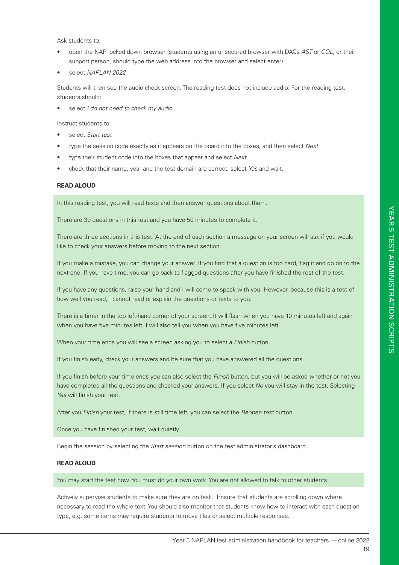Ask students to:

- open the NAP locked down browser (students using an unsecured browser with DACs *AST* or *COL*, or their support person, should type the web address into the browser and select enter)
- select *NAPLAN 2022*

Students will then see the audio check screen. The reading test does not include audio. For the reading test, students should:

• select *I do not need to check my audio*.

Instruct students to:

- select *Start test*
- type the session code exactly as it appears on the board into the boxes, and then select *Next*
- type their student code into the boxes that appear and select *Next*
- check that their name, year and the test domain are correct, select *Yes* and wait.

#### **READ ALOUD**

In this reading test, you will read texts and then answer questions about them.

There are 39 questions in this test and you have 50 minutes to complete it.

There are three sections in this test. At the end of each section a message on your screen will ask if you would like to check your answers before moving to the next section.

If you make a mistake, you can change your answer. If you find that a question is too hard, flag it and go on to the next one. If you have time, you can go back to flagged questions after you have finished the rest of the test.

If you have any questions, raise your hand and I will come to speak with you. However, because this is a test of how well you read, I cannot read or explain the questions or texts to you.

There is a timer in the top left-hand corner of your screen. It will flash when you have 10 minutes left and again when you have five minutes left. I will also tell you when you have five minutes left.

When your time ends you will see a screen asking you to select a *Finish* button.

If you finish early, check your answers and be sure that you have answered all the questions.

If you finish before your time ends you can also select the *Finish* button, but you will be asked whether or not you have completed all the questions and checked your answers. If you select *No* you will stay in the test. Selecting *Yes* will finish your test.

After you *Finish* your test, if there is still time left, you can select the *Reopen test* button.

Once you have finished your test, wait quietly.

Begin the session by selecting the *Start session* button on the test administrator's dashboard.

#### **READ ALOUD**

You may start the test now. You must do your own work. You are not allowed to talk to other students.

Actively supervise students to make sure they are on task. Ensure that students are scrolling down where necessary to read the whole text. You should also monitor that students know how to interact with each question type, e.g. some items may require students to move tiles or select multiple responses.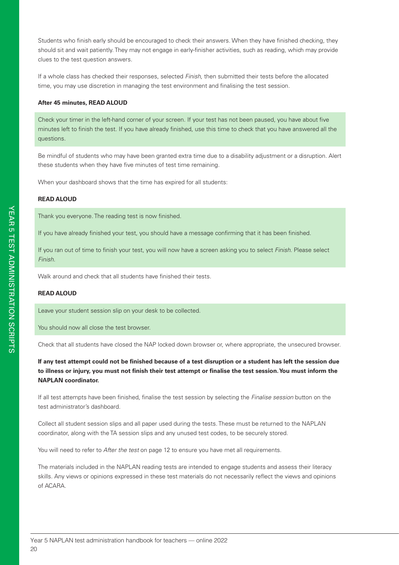Students who finish early should be encouraged to check their answers. When they have finished checking, they should sit and wait patiently. They may not engage in early-finisher activities, such as reading, which may provide clues to the test question answers.

If a whole class has checked their responses, selected *Finish*, then submitted their tests before the allocated time, you may use discretion in managing the test environment and finalising the test session.

#### **After 45 minutes, READ ALOUD**

Check your timer in the left-hand corner of your screen. If your test has not been paused, you have about five minutes left to finish the test. If you have already finished, use this time to check that you have answered all the questions.

Be mindful of students who may have been granted extra time due to a disability adjustment or a disruption. Alert these students when they have five minutes of test time remaining.

When your dashboard shows that the time has expired for all students:

#### **READ ALOUD**

Thank you everyone. The reading test is now finished.

If you have already finished your test, you should have a message confirming that it has been finished.

If you ran out of time to finish your test, you will now have a screen asking you to select *Finish*. Please select *Finish*.

Walk around and check that all students have finished their tests.

#### **READ ALOUD**

Leave your student session slip on your desk to be collected.

You should now all close the test browser.

Check that all students have closed the NAP locked down browser or, where appropriate, the unsecured browser.

**If any test attempt could not be finished because of a test disruption or a student has left the session due to illness or injury, you must not finish their test attempt or finalise the test session. You must inform the NAPLAN coordinator.**

If all test attempts have been finished, finalise the test session by selecting the *Finalise session* button on the test administrator's dashboard.

Collect all student session slips and all paper used during the tests. These must be returned to the NAPLAN coordinator, along with the TA session slips and any unused test codes, to be securely stored.

You will need to refer to *After the test* on page 12 to ensure you have met all requirements.

The materials included in the NAPLAN reading tests are intended to engage students and assess their literacy skills. Any views or opinions expressed in these test materials do not necessarily reflect the views and opinions of ACARA.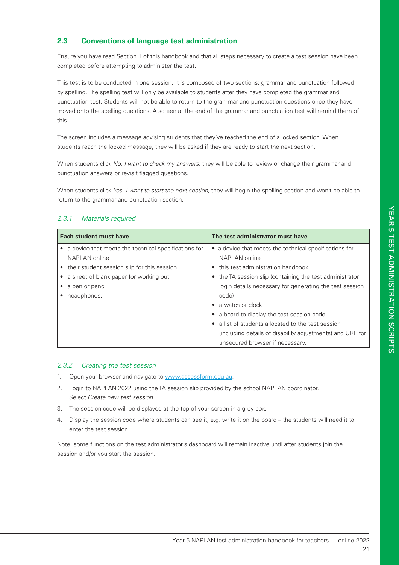#### **2.3 Conventions of language test administration**

Ensure you have read Section 1 of this handbook and that all steps necessary to create a test session have been completed before attempting to administer the test.

This test is to be conducted in one session. It is composed of two sections: grammar and punctuation followed by spelling. The spelling test will only be available to students after they have completed the grammar and punctuation test. Students will not be able to return to the grammar and punctuation questions once they have moved onto the spelling questions. A screen at the end of the grammar and punctuation test will remind them of this.

The screen includes a message advising students that they've reached the end of a locked section. When students reach the locked message, they will be asked if they are ready to start the next section.

When students click *No, I want to check my answers,* they will be able to review or change their grammar and punctuation answers or revisit flagged questions.

When students click *Yes, I want to start the next section,* they will begin the spelling section and won't be able to return to the grammar and punctuation section.

#### *2.3.1 Materials required*

| Each student must have                               | The test administrator must have                          |  |
|------------------------------------------------------|-----------------------------------------------------------|--|
| a device that meets the technical specifications for | a device that meets the technical specifications for      |  |
| NAPLAN online                                        | NAPLAN online                                             |  |
| • their student session slip for this session        | this test administration handbook                         |  |
| a sheet of blank paper for working out               | the TA session slip (containing the test administrator    |  |
| a pen or pencil                                      | login details necessary for generating the test session   |  |
| headphones.                                          | code)                                                     |  |
|                                                      | a watch or clock<br>$\bullet$                             |  |
|                                                      | a board to display the test session code<br>$\bullet$     |  |
|                                                      | a list of students allocated to the test session          |  |
|                                                      | (including details of disability adjustments) and URL for |  |
|                                                      | unsecured browser if necessary.                           |  |

#### *2.3.2 Creating the test session*

- 1. Open your browser and navigate to www.assessform.edu.au.
- 2. Login to NAPLAN 2022 using the TA session slip provided by the school NAPLAN coordinator. Select *Create new test session*.
- 3. The session code will be displayed at the top of your screen in a grey box.
- 4. Display the session code where students can see it, e.g. write it on the board the students will need it to enter the test session.

Note: some functions on the test administrator's dashboard will remain inactive until after students join the session and/or you start the session.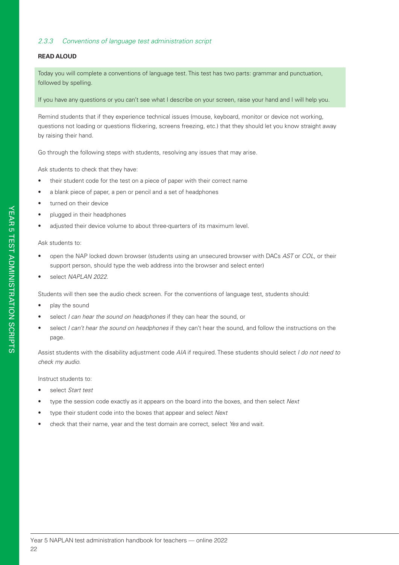#### *2.3.3 Conventions of language test administration script*

#### **READ ALOUD**

Today you will complete a conventions of language test. This test has two parts: grammar and punctuation, followed by spelling.

If you have any questions or you can't see what I describe on your screen, raise your hand and I will help you.

Remind students that if they experience technical issues (mouse, keyboard, monitor or device not working, questions not loading or questions flickering, screens freezing, etc.) that they should let you know straight away by raising their hand.

Go through the following steps with students, resolving any issues that may arise.

Ask students to check that they have:

- their student code for the test on a piece of paper with their correct name
- a blank piece of paper, a pen or pencil and a set of headphones
- turned on their device
- plugged in their headphones
- adjusted their device volume to about three-quarters of its maximum level.

#### Ask students to:

- open the NAP locked down browser (students using an unsecured browser with DACs *AST* or *COL*, or their support person, should type the web address into the browser and select enter)
- select *NAPLAN 2022*.

Students will then see the audio check screen. For the conventions of language test, students should:

- play the sound
- select *I can hear the sound on headphones* if they can hear the sound, or
- select *I can't hear the sound on headphones* if they can't hear the sound, and follow the instructions on the page.

Assist students with the disability adjustment code *AIA* if required. These students should select *I do not need to check my audio*.

#### Instruct students to:

- select *Start test*
- type the session code exactly as it appears on the board into the boxes, and then select *Next*
- type their student code into the boxes that appear and select *Next*
- check that their name, year and the test domain are correct, select *Yes* and wait.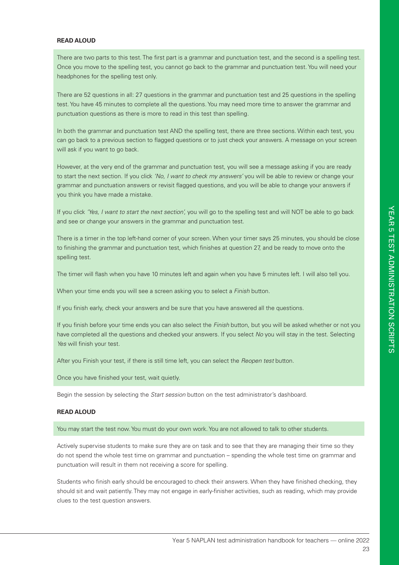#### **READ ALOUD**

There are two parts to this test. The first part is a grammar and punctuation test, and the second is a spelling test. Once you move to the spelling test, you cannot go back to the grammar and punctuation test. You will need your headphones for the spelling test only.

There are 52 questions in all: 27 questions in the grammar and punctuation test and 25 questions in the spelling test. You have 45 minutes to complete all the questions. You may need more time to answer the grammar and punctuation questions as there is more to read in this test than spelling.

In both the grammar and punctuation test AND the spelling test, there are three sections. Within each test, you can go back to a previous section to flagged questions or to just check your answers. A message on your screen will ask if you want to go back.

However, at the very end of the grammar and punctuation test, you will see a message asking if you are ready to start the next section. If you click *'No, I want to check my answers'* you will be able to review or change your grammar and punctuation answers or revisit flagged questions, and you will be able to change your answers if you think you have made a mistake.

If you click *'Yes, I want to start the next section',* you will go to the spelling test and will NOT be able to go back and see or change your answers in the grammar and punctuation test.

There is a timer in the top left-hand corner of your screen. When your timer says 25 minutes, you should be close to finishing the grammar and punctuation test, which finishes at question 27, and be ready to move onto the spelling test.

The timer will flash when you have 10 minutes left and again when you have 5 minutes left. I will also tell you.

When your time ends you will see a screen asking you to select a *Finish* button.

If you finish early, check your answers and be sure that you have answered all the questions.

If you finish before your time ends you can also select the *Finish* button, but you will be asked whether or not you have completed all the questions and checked your answers. If you select *No* you will stay in the test. Selecting *Yes* will finish your test.

After you Finish your test, if there is still time left, you can select the *Reopen test* button.

Once you have finished your test, wait quietly.

Begin the session by selecting the *Start session* button on the test administrator's dashboard.

#### **READ ALOUD**

You may start the test now. You must do your own work. You are not allowed to talk to other students.

Actively supervise students to make sure they are on task and to see that they are managing their time so they do not spend the whole test time on grammar and punctuation – spending the whole test time on grammar and punctuation will result in them not receiving a score for spelling.

Students who finish early should be encouraged to check their answers. When they have finished checking, they should sit and wait patiently. They may not engage in early-finisher activities, such as reading, which may provide clues to the test question answers.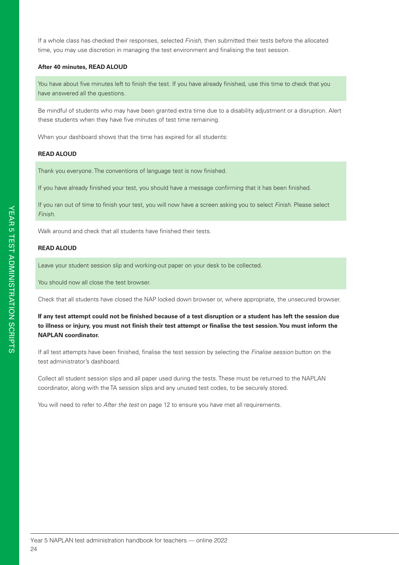If a whole class has checked their responses, selected *Finish*, then submitted their tests before the allocated time, you may use discretion in managing the test environment and finalising the test session.

#### **After 40 minutes, READ ALOUD**

You have about five minutes left to finish the test. If you have already finished, use this time to check that you have answered all the questions.

Be mindful of students who may have been granted extra time due to a disability adjustment or a disruption. Alert these students when they have five minutes of test time remaining.

When your dashboard shows that the time has expired for all students:

#### **READ ALOUD**

Thank you everyone. The conventions of language test is now finished.

If you have already finished your test, you should have a message confirming that it has been finished.

If you ran out of time to finish your test, you will now have a screen asking you to select *Finish*. Please select *Finish*.

Walk around and check that all students have finished their tests.

#### **READ ALOUD**

Leave your student session slip and working-out paper on your desk to be collected.

You should now all close the test browser.

Check that all students have closed the NAP locked down browser or, where appropriate, the unsecured browser.

**If any test attempt could not be finished because of a test disruption or a student has left the session due to illness or injury, you must not finish their test attempt or finalise the test session. You must inform the NAPLAN coordinator.**

If all test attempts have been finished, finalise the test session by selecting the *Finalise session* button on the test administrator's dashboard.

Collect all student session slips and all paper used during the tests. These must be returned to the NAPLAN coordinator, along with the TA session slips and any unused test codes, to be securely stored.

You will need to refer to *After the test* on page 12 to ensure you have met all requirements.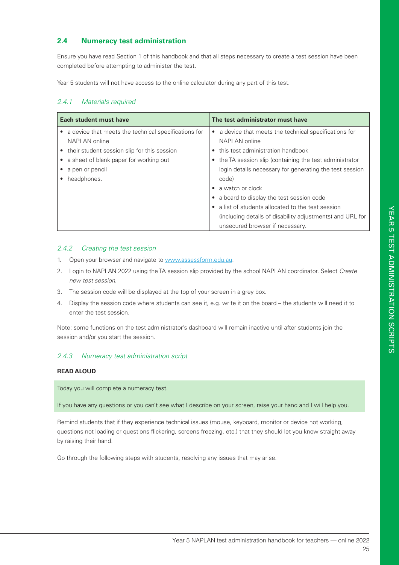#### **2.4 Numeracy test administration**

Ensure you have read Section 1 of this handbook and that all steps necessary to create a test session have been completed before attempting to administer the test.

Year 5 students will not have access to the online calculator during any part of this test.

#### *2.4.1 Materials required*

| Each student must have                               | The test administrator must have                              |  |
|------------------------------------------------------|---------------------------------------------------------------|--|
| a device that meets the technical specifications for | a device that meets the technical specifications for          |  |
| NAPLAN online                                        | NAPLAN online                                                 |  |
| their student session slip for this session          | this test administration handbook<br>$\bullet$                |  |
| a sheet of blank paper for working out               | the TA session slip (containing the test administrator        |  |
| a pen or pencil                                      | login details necessary for generating the test session       |  |
| headphones.                                          | code)                                                         |  |
|                                                      | a watch or clock                                              |  |
|                                                      | a board to display the test session code<br>٠                 |  |
|                                                      | a list of students allocated to the test session<br>$\bullet$ |  |
|                                                      | (including details of disability adjustments) and URL for     |  |
|                                                      | unsecured browser if necessary.                               |  |

#### *2.4.2 Creating the test session*

- 1. Open your browser and navigate to www.assessform.edu.au.
- 2. Login to NAPLAN 2022 using the TA session slip provided by the school NAPLAN coordinator. Select *Create new test session*.
- 3. The session code will be displayed at the top of your screen in a grey box.
- 4. Display the session code where students can see it, e.g. write it on the board the students will need it to enter the test session.

Note: some functions on the test administrator's dashboard will remain inactive until after students join the session and/or you start the session.

#### *2.4.3 Numeracy test administration script*

#### **READ ALOUD**

Today you will complete a numeracy test.

If you have any questions or you can't see what I describe on your screen, raise your hand and I will help you.

Remind students that if they experience technical issues (mouse, keyboard, monitor or device not working, questions not loading or questions flickering, screens freezing, etc.) that they should let you know straight away by raising their hand.

Go through the following steps with students, resolving any issues that may arise.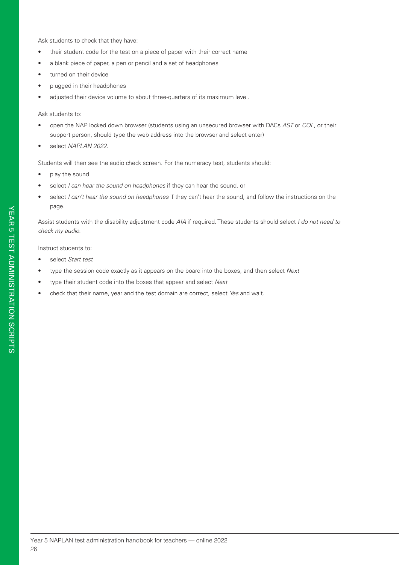Ask students to check that they have:

- their student code for the test on a piece of paper with their correct name
- a blank piece of paper, a pen or pencil and a set of headphones
- turned on their device
- plugged in their headphones
- adjusted their device volume to about three-quarters of its maximum level.

#### Ask students to:

- open the NAP locked down browser (students using an unsecured browser with DACs *AST* or *COL*, or their support person, should type the web address into the browser and select enter)
- select *NAPLAN 2022*.

Students will then see the audio check screen. For the numeracy test, students should:

- play the sound
- select *I can hear the sound on headphones* if they can hear the sound, or
- select *I can't hear the sound on headphones* if they can't hear the sound, and follow the instructions on the page.

Assist students with the disability adjustment code *AIA* if required. These students should select *I do not need to check my audio*.

Instruct students to:

- select *Start test*
- type the session code exactly as it appears on the board into the boxes, and then select *Next*
- type their student code into the boxes that appear and select *Next*
- check that their name, year and the test domain are correct, select *Yes* and wait.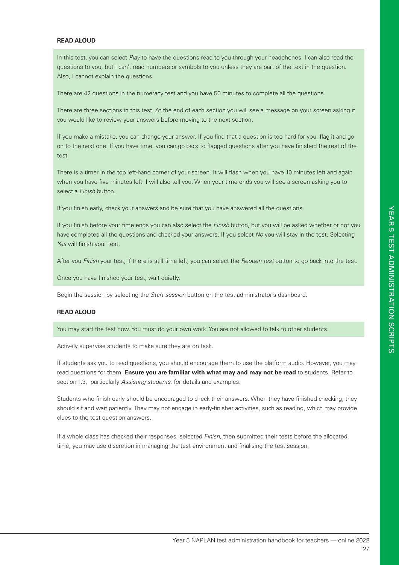#### **READ ALOUD**

In this test, you can select *Play* to have the questions read to you through your headphones. I can also read the questions to you, but I can't read numbers or symbols to you unless they are part of the text in the question. Also, I cannot explain the questions.

There are 42 questions in the numeracy test and you have 50 minutes to complete all the questions.

There are three sections in this test. At the end of each section you will see a message on your screen asking if you would like to review your answers before moving to the next section.

If you make a mistake, you can change your answer. If you find that a question is too hard for you, flag it and go on to the next one. If you have time, you can go back to flagged questions after you have finished the rest of the test.

There is a timer in the top left-hand corner of your screen. It will flash when you have 10 minutes left and again when you have five minutes left. I will also tell you. When your time ends you will see a screen asking you to select a *Finish* button.

If you finish early, check your answers and be sure that you have answered all the questions.

If you finish before your time ends you can also select the *Finish* button, but you will be asked whether or not you have completed all the questions and checked your answers. If you select *No* you will stay in the test. Selecting *Yes* will finish your test.

After you *Finish* your test, if there is still time left, you can select the *Reopen test* button to go back into the test.

Once you have finished your test, wait quietly.

Begin the session by selecting the *Start session* button on the test administrator's dashboard.

#### **READ ALOUD**

You may start the test now. You must do your own work. You are not allowed to talk to other students.

Actively supervise students to make sure they are on task.

If students ask you to read questions, you should encourage them to use the platform audio. However, you may read questions for them. **Ensure you are familiar with what may and may not be read** to students. Refer to section 1.3, particularly *Assisting students*, for details and examples.

Students who finish early should be encouraged to check their answers. When they have finished checking, they should sit and wait patiently. They may not engage in early-finisher activities, such as reading, which may provide clues to the test question answers.

If a whole class has checked their responses, selected *Finish*, then submitted their tests before the allocated time, you may use discretion in managing the test environment and finalising the test session.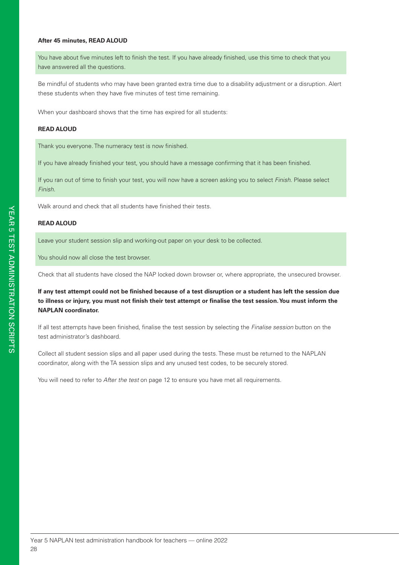#### **After 45 minutes, READ ALOUD**

You have about five minutes left to finish the test. If you have already finished, use this time to check that you have answered all the questions.

Be mindful of students who may have been granted extra time due to a disability adjustment or a disruption. Alert these students when they have five minutes of test time remaining.

When your dashboard shows that the time has expired for all students:

#### **READ ALOUD**

Thank you everyone. The numeracy test is now finished.

If you have already finished your test, you should have a message confirming that it has been finished.

If you ran out of time to finish your test, you will now have a screen asking you to select *Finish*. Please select *Finish*.

Walk around and check that all students have finished their tests.

#### **READ ALOUD**

Leave your student session slip and working-out paper on your desk to be collected.

You should now all close the test browser.

Check that all students have closed the NAP locked down browser or, where appropriate, the unsecured browser.

**If any test attempt could not be finished because of a test disruption or a student has left the session due to illness or injury, you must not finish their test attempt or finalise the test session. You must inform the NAPLAN coordinator.**

If all test attempts have been finished, finalise the test session by selecting the *Finalise session* button on the test administrator's dashboard.

Collect all student session slips and all paper used during the tests. These must be returned to the NAPLAN coordinator, along with the TA session slips and any unused test codes, to be securely stored.

You will need to refer to *After the test* on page 12 to ensure you have met all requirements.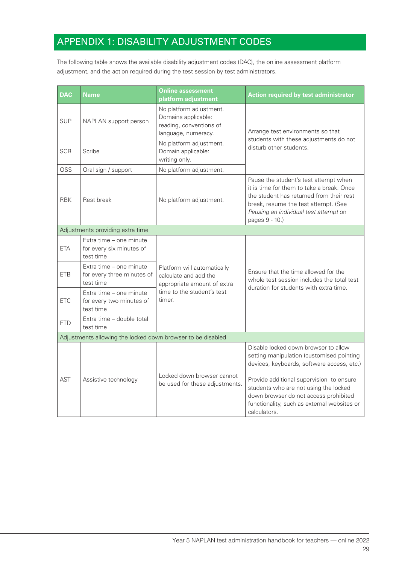# APPENDIX 1: DISABILITY ADJUSTMENT CODES

The following table shows the available disability adjustment codes (DAC), the online assessment platform adjustment, and the action required during the test session by test administrators.

| <b>DAC</b>                                                  | <b>Name</b>                                                        | <b>Online assessment</b><br>platform adjustment                                                  | <b>Action required by test administrator</b>                                                                                                                                                                                      |  |  |
|-------------------------------------------------------------|--------------------------------------------------------------------|--------------------------------------------------------------------------------------------------|-----------------------------------------------------------------------------------------------------------------------------------------------------------------------------------------------------------------------------------|--|--|
| <b>SUP</b>                                                  | NAPLAN support person                                              | No platform adjustment.<br>Domains applicable:<br>reading, conventions of<br>language, numeracy. | Arrange test environments so that                                                                                                                                                                                                 |  |  |
| <b>SCR</b>                                                  | Scribe                                                             | No platform adjustment.<br>Domain applicable:<br>writing only.                                   | students with these adjustments do not<br>disturb other students.                                                                                                                                                                 |  |  |
| OSS                                                         | Oral sign / support                                                | No platform adjustment.                                                                          |                                                                                                                                                                                                                                   |  |  |
| <b>RBK</b>                                                  | Rest break                                                         | No platform adjustment.                                                                          | Pause the student's test attempt when<br>it is time for them to take a break. Once<br>the student has returned from their rest<br>break, resume the test attempt. (See<br>Pausing an individual test attempt on<br>pages 9 - 10.) |  |  |
|                                                             | Adjustments providing extra time                                   |                                                                                                  |                                                                                                                                                                                                                                   |  |  |
| <b>ETA</b>                                                  | Extra time - one minute<br>for every six minutes of<br>test time   |                                                                                                  |                                                                                                                                                                                                                                   |  |  |
| <b>ETB</b>                                                  | Extra time - one minute<br>for every three minutes of<br>test time | Platform will automatically<br>calculate and add the<br>appropriate amount of extra              | Ensure that the time allowed for the<br>whole test session includes the total test<br>duration for students with extra time.                                                                                                      |  |  |
| <b>ETC</b>                                                  | Extra time - one minute<br>for every two minutes of<br>test time   | time to the student's test<br>timer.                                                             |                                                                                                                                                                                                                                   |  |  |
| <b>ETD</b>                                                  | Extra time - double total<br>test time                             |                                                                                                  |                                                                                                                                                                                                                                   |  |  |
| Adjustments allowing the locked down browser to be disabled |                                                                    |                                                                                                  |                                                                                                                                                                                                                                   |  |  |
|                                                             |                                                                    |                                                                                                  | Disable locked down browser to allow<br>setting manipulation (customised pointing<br>devices, keyboards, software access, etc.)                                                                                                   |  |  |
| AST                                                         | Assistive technology                                               | Locked down browser cannot<br>be used for these adjustments.                                     | Provide additional supervision to ensure<br>students who are not using the locked<br>down browser do not access prohibited<br>functionality, such as external websites or<br>calculators.                                         |  |  |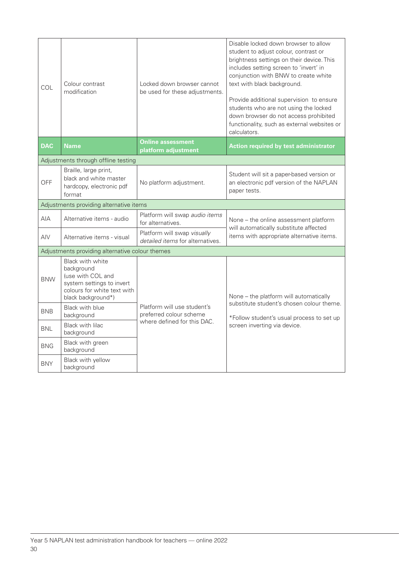| COL                                             | Colour contrast<br>modification                                                                                                       | Locked down browser cannot<br>be used for these adjustments.                          | Disable locked down browser to allow<br>student to adjust colour, contrast or<br>brightness settings on their device. This<br>includes setting screen to 'invert' in<br>conjunction with BNW to create white<br>text with black background.<br>Provide additional supervision to ensure<br>students who are not using the locked<br>down browser do not access prohibited<br>functionality, such as external websites or<br>calculators. |
|-------------------------------------------------|---------------------------------------------------------------------------------------------------------------------------------------|---------------------------------------------------------------------------------------|------------------------------------------------------------------------------------------------------------------------------------------------------------------------------------------------------------------------------------------------------------------------------------------------------------------------------------------------------------------------------------------------------------------------------------------|
| <b>DAC</b>                                      | <b>Name</b>                                                                                                                           | <b>Online assessment</b><br>platform adjustment                                       | <b>Action required by test administrator</b>                                                                                                                                                                                                                                                                                                                                                                                             |
| Adjustments through offline testing             |                                                                                                                                       |                                                                                       |                                                                                                                                                                                                                                                                                                                                                                                                                                          |
| <b>OFF</b>                                      | Braille, large print,<br>black and white master<br>hardcopy, electronic pdf<br>format                                                 | No platform adjustment.                                                               | Student will sit a paper-based version or<br>an electronic pdf version of the NAPLAN<br>paper tests.                                                                                                                                                                                                                                                                                                                                     |
| Adjustments providing alternative items         |                                                                                                                                       |                                                                                       |                                                                                                                                                                                                                                                                                                                                                                                                                                          |
| <b>AIA</b>                                      | Alternative items - audio                                                                                                             | Platform will swap audio items<br>for alternatives.                                   | None - the online assessment platform<br>will automatically substitute affected<br>items with appropriate alternative items.                                                                                                                                                                                                                                                                                                             |
| AIV                                             | Alternative items - visual                                                                                                            | Platform will swap visually<br>detailed items for alternatives.                       |                                                                                                                                                                                                                                                                                                                                                                                                                                          |
| Adjustments providing alternative colour themes |                                                                                                                                       |                                                                                       |                                                                                                                                                                                                                                                                                                                                                                                                                                          |
| <b>BNW</b>                                      | Black with white<br>background<br>(use with COL and<br>system settings to invert<br>colours for white text with<br>black background*) | Platform will use student's<br>preferred colour scheme<br>where defined for this DAC. | None - the platform will automatically<br>substitute student's chosen colour theme.<br>*Follow student's usual process to set up<br>screen inverting via device.                                                                                                                                                                                                                                                                         |
| <b>BNB</b>                                      | Black with blue<br>background                                                                                                         |                                                                                       |                                                                                                                                                                                                                                                                                                                                                                                                                                          |
| <b>BNL</b>                                      | Black with lilac<br>background                                                                                                        |                                                                                       |                                                                                                                                                                                                                                                                                                                                                                                                                                          |
| <b>BNG</b>                                      | Black with green<br>background                                                                                                        |                                                                                       |                                                                                                                                                                                                                                                                                                                                                                                                                                          |
| <b>BNY</b>                                      | Black with yellow<br>background                                                                                                       |                                                                                       |                                                                                                                                                                                                                                                                                                                                                                                                                                          |